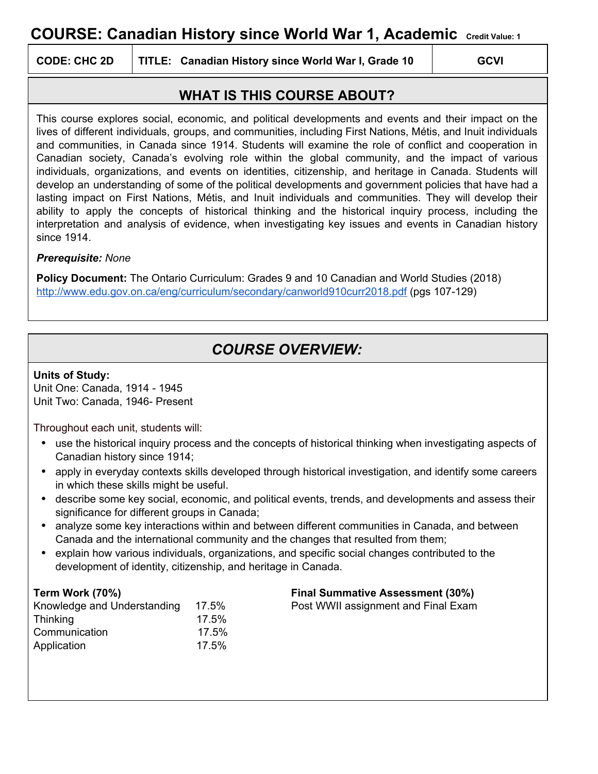# **COURSE: Canadian History since World War 1, Academic Credit Value: <sup>1</sup>**

**CODE: CHC 2D TITLE: Canadian History since World War I, Grade 10 GCVI**

## **WHAT IS THIS COURSE ABOUT?**

This course explores social, economic, and political developments and events and their impact on the lives of different individuals, groups, and communities, including First Nations, Métis, and Inuit individuals and communities, in Canada since 1914. Students will examine the role of conflict and cooperation in Canadian society, Canada's evolving role within the global community, and the impact of various individuals, organizations, and events on identities, citizenship, and heritage in Canada. Students will develop an understanding of some of the political developments and government policies that have had a lasting impact on First Nations, Métis, and Inuit individuals and communities. They will develop their ability to apply the concepts of historical thinking and the historical inquiry process, including the interpretation and analysis of evidence, when investigating key issues and events in Canadian history since 1914.

### *Prerequisite: None*

**Policy Document:** The Ontario Curriculum: Grades 9 and 10 Canadian and World Studies (2018) <http://www.edu.gov.on.ca/eng/curriculum/secondary/canworld910curr2018.pdf> (pgs 107-129)

# *COURSE OVERVIEW:*

### **Units of Study:**

Unit One: Canada, 1914 - 1945 Unit Two: Canada, 1946- Present

Throughout each unit, students will:

- **•** use the historical inquiry process and the concepts of historical thinking when investigating aspects of Canadian history since 1914;
- **•** apply in everyday contexts skills developed through historical investigation, and identify some careers in which these skills might be useful.
- **•** describe some key social, economic, and political events, trends, and developments and assess their significance for different groups in Canada;
- **•** analyze some key interactions within and between different communities in Canada, and between Canada and the international community and the changes that resulted from them;
- **•** explain how various individuals, organizations, and specific social changes contributed to the development of identity, citizenship, and heritage in Canada.

| Knowledge and Understanding | 17.5% |
|-----------------------------|-------|
| Thinking                    | 17.5% |
| Communication               | 17.5% |
| Application                 | 17.5% |

#### **Term Work (70%) Final Summative Assessment (30%)**

Post WWII assignment and Final Exam